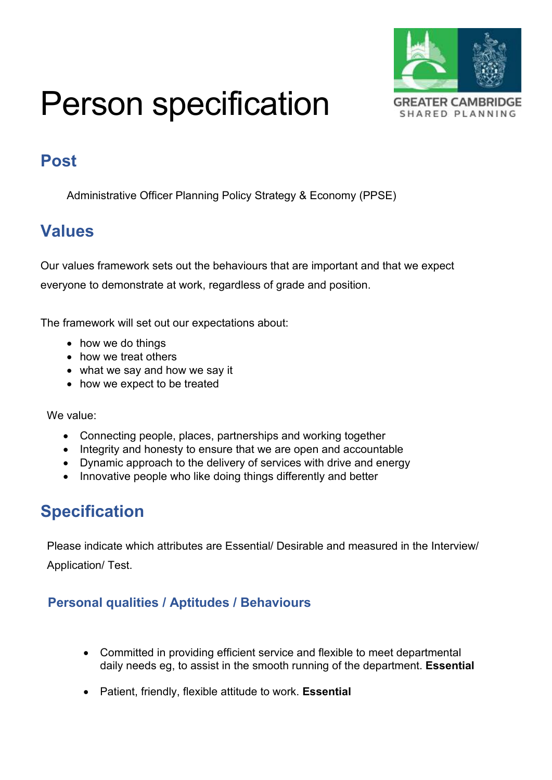

# Person specification

# **Post**

Administrative Officer Planning Policy Strategy & Economy (PPSE)

# **Values**

Our values framework sets out the behaviours that are important and that we expect everyone to demonstrate at work, regardless of grade and position.

The framework will set out our expectations about:

- how we do things
- how we treat others
- what we say and how we say it
- how we expect to be treated

We value:

- Connecting people, places, partnerships and working together
- Integrity and honesty to ensure that we are open and accountable
- Dynamic approach to the delivery of services with drive and energy
- Innovative people who like doing things differently and better

# **Specification**

Please indicate which attributes are Essential/ Desirable and measured in the Interview/ Application/ Test.

## **Personal qualities / Aptitudes / Behaviours**

- Committed in providing efficient service and flexible to meet departmental daily needs eg, to assist in the smooth running of the department. **Essential**
- Patient, friendly, flexible attitude to work. **Essential**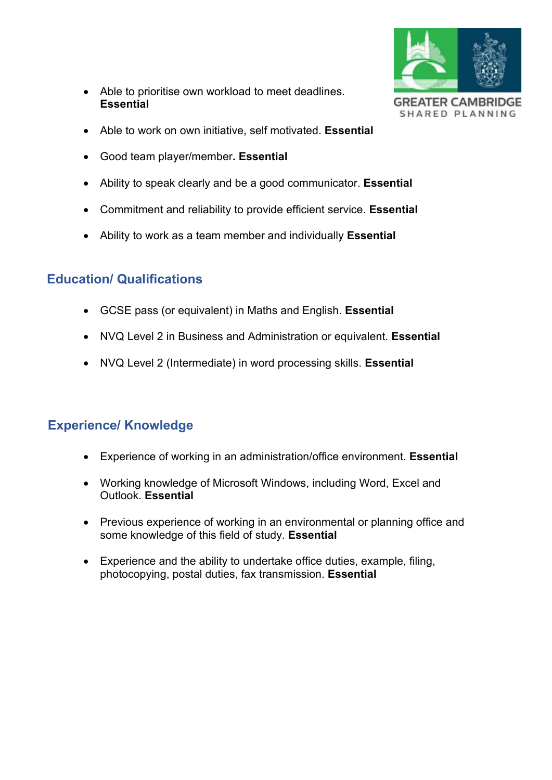• Able to prioritise own workload to meet deadlines. **Essential** 



- Able to work on own initiative, self motivated. **Essential**
- Good team player/member**. Essential**
- Ability to speak clearly and be a good communicator. **Essential**
- Commitment and reliability to provide efficient service. **Essential**
- Ability to work as a team member and individually **Essential**

## **Education/ Qualifications**

- GCSE pass (or equivalent) in Maths and English. **Essential**
- NVQ Level 2 in Business and Administration or equivalent. **Essential**
- NVQ Level 2 (Intermediate) in word processing skills. **Essential**

## **Experience/ Knowledge**

- Experience of working in an administration/office environment. **Essential**
- Working knowledge of Microsoft Windows, including Word, Excel and Outlook. **Essential**
- Previous experience of working in an environmental or planning office and some knowledge of this field of study. **Essential**
- Experience and the ability to undertake office duties, example, filing, photocopying, postal duties, fax transmission. **Essential**